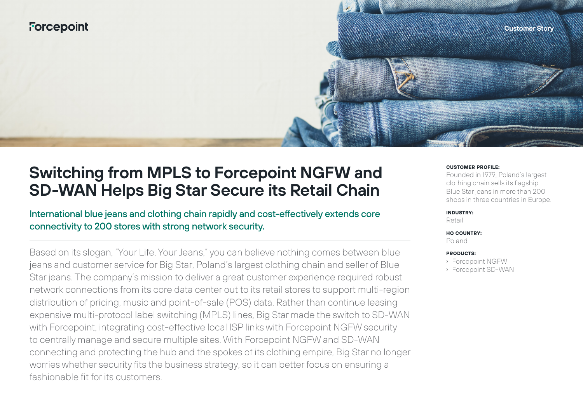

# **Switching from MPLS to Forcepoint NGFW and SD-WAN Helps Big Star Secure its Retail Chain**

International blue jeans and clothing chain rapidly and cost-effectively extends core connectivity to 200 stores with strong network security.

Based on its slogan, "Your Life, Your Jeans," you can believe nothing comes between blue jeans and customer service for Big Star, Poland's largest clothing chain and seller of Blue Star jeans. The company's mission to deliver a great customer experience required robust network connections from its core data center out to its retail stores to support multi-region distribution of pricing, music and point-of-sale (POS) data. Rather than continue leasing expensive multi-protocol label switching (MPLS) lines, Big Star made the switch to SD-WAN with Forcepoint, integrating cost-effective local ISP links with Forcepoint NGFW security to centrally manage and secure multiple sites. With Forcepoint NGFW and SD-WAN connecting and protecting the hub and the spokes of its clothing empire, Big Star no longer worries whether security fits the business strategy, so it can better focus on ensuring a fashionable fit for its customers.

#### **CUSTOMER PROFILE:**

Founded in 1979, Poland's largest clothing chain sells its flagship Blue Star jeans in more than 200 shops in three countries in Europe.

#### **INDUSTRY:**

Retail

#### **HQ COUNTRY:**

Poland

#### **PRODUCTS:**

- › Forcepoint NGFW
- › Forcepoint SD-WAN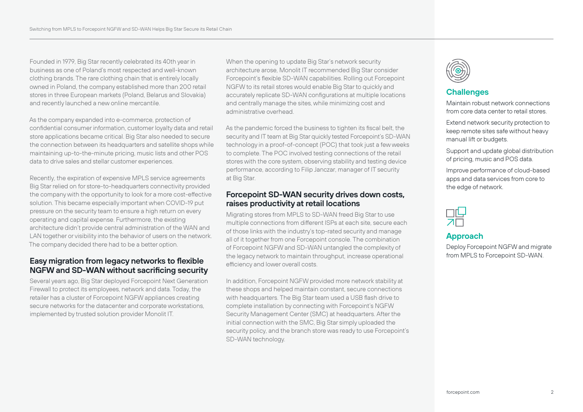Founded in 1979, Big Star recently celebrated its 40th year in business as one of Poland's most respected and well-known clothing brands. The rare clothing chain that is entirely locally owned in Poland, the company established more than 200 retail stores in three European markets (Poland, Belarus and Slovakia) and recently launched a new online mercantile.

As the company expanded into e-commerce, protection of confidential consumer information, customer loyalty data and retail store applications became critical. Big Star also needed to secure the connection between its headquarters and satellite shops while maintaining up-to-the-minute pricing, music lists and other POS data to drive sales and stellar customer experiences.

Recently, the expiration of expensive MPLS service agreements Big Star relied on for store-to-headquarters connectivity provided the company with the opportunity to look for a more cost-effective solution. This became especially important when COVID-19 put pressure on the security team to ensure a high return on every operating and capital expense. Furthermore, the existing architecture didn't provide central administration of the WAN and LAN together or visibility into the behavior of users on the network. The company decided there had to be a better option.

## **Easy migration from legacy networks to flexible NGFW and SD-WAN without sacrificing security**

Several years ago, Big Star deployed Forcepoint Next Generation Firewall to protect its employees, network and data. Today, the retailer has a cluster of Forcepoint NGFW appliances creating secure networks for the datacenter and corporate workstations, implemented by trusted solution provider Monolit IT.

When the opening to update Big Star's network security architecture arose, Monolit IT recommended Big Star consider Forcepoint's flexible SD-WAN capabilities. Rolling out Forcepoint NGFW to its retail stores would enable Big Star to quickly and accurately replicate SD-WAN configurations at multiple locations and centrally manage the sites, while minimizing cost and administrative overhead.

As the pandemic forced the business to tighten its fiscal belt, the security and IT team at Big Star quickly tested Forcepoint's SD-WAN technology in a proof-of-concept (POC) that took just a few weeks to complete. The POC involved testing connections of the retail stores with the core system, observing stability and testing device performance, according to Filip Janczar, manager of IT security at Big Star.

#### **Forcepoint SD-WAN security drives down costs, raises productivity at retail locations**

Migrating stores from MPLS to SD-WAN freed Big Star to use multiple connections from different ISPs at each site, secure each of those links with the industry's top-rated security and manage all of it together from one Forcepoint console. The combination of Forcepoint NGFW and SD-WAN untangled the complexity of the legacy network to maintain throughput, increase operational efficiency and lower overall costs.

In addition, Forcepoint NGFW provided more network stability at these shops and helped maintain constant, secure connections with headquarters. The Big Star team used a USB flash drive to complete installation by connecting with Forcepoint's NGFW Security Management Center (SMC) at headquarters. After the initial connection with the SMC, Big Star simply uploaded the security policy, and the branch store was ready to use Forcepoint's SD-WAN technology.



## **Challenges**

Maintain robust network connections from core data center to retail stores.

Extend network security protection to keep remote sites safe without heavy manual lift or budgets.

Support and update global distribution of pricing, music and POS data.

Improve performance of cloud-based apps and data services from core to the edge of network.

## **Approach**

Deploy Forcepoint NGFW and migrate from MPLS to Forcepoint SD-WAN.